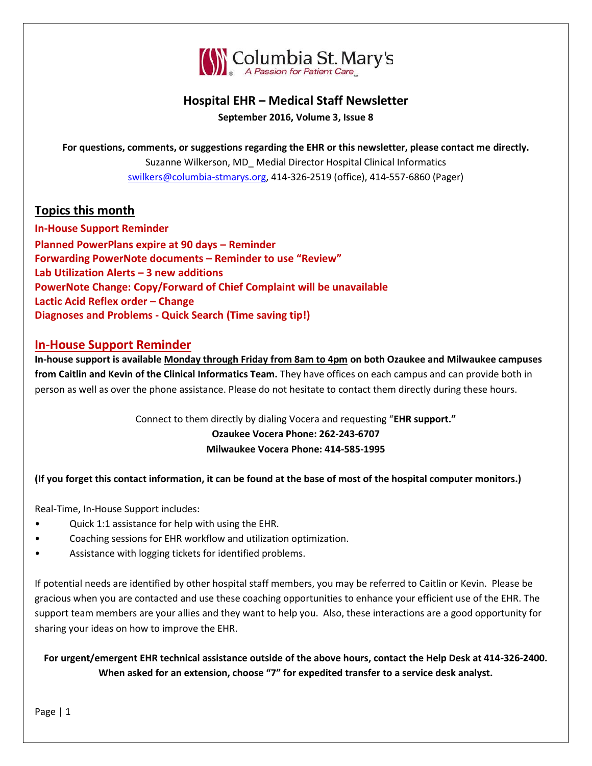

## **Hospital EHR – Medical Staff Newsletter September 2016, Volume 3, Issue 8**

**For questions, comments, or suggestions regarding the EHR or this newsletter, please contact me directly.** Suzanne Wilkerson, MD\_ Medial Director Hospital Clinical Informatics [swilkers@columbia-stmarys.org,](mailto:swilkers@columbia-stmarys.org) 414-326-2519 (office), 414-557-6860 (Pager)

## **Topics this month**

**In-House Support Reminder Planned PowerPlans expire at 90 days – Reminder Forwarding PowerNote documents – Reminder to use "Review" Lab Utilization Alerts – 3 new additions PowerNote Change: Copy/Forward of Chief Complaint will be unavailable Lactic Acid Reflex order – Change Diagnoses and Problems - Quick Search (Time saving tip!)**

#### **In-House Support Reminder**

**In-house support is available Monday through Friday from 8am to 4pm on both Ozaukee and Milwaukee campuses from Caitlin and Kevin of the Clinical Informatics Team.** They have offices on each campus and can provide both in person as well as over the phone assistance. Please do not hesitate to contact them directly during these hours.

#### Connect to them directly by dialing Vocera and requesting "**EHR support." Ozaukee Vocera Phone: 262-243-6707 Milwaukee Vocera Phone: 414-585-1995**

#### **(If you forget this contact information, it can be found at the base of most of the hospital computer monitors.)**

Real-Time, In-House Support includes:

- Quick 1:1 assistance for help with using the EHR.
- Coaching sessions for EHR workflow and utilization optimization.
- Assistance with logging tickets for identified problems.

If potential needs are identified by other hospital staff members, you may be referred to Caitlin or Kevin. Please be gracious when you are contacted and use these coaching opportunities to enhance your efficient use of the EHR. The support team members are your allies and they want to help you. Also, these interactions are a good opportunity for sharing your ideas on how to improve the EHR.

**For urgent/emergent EHR technical assistance outside of the above hours, contact the Help Desk at 414-326-2400. When asked for an extension, choose "7" for expedited transfer to a service desk analyst.**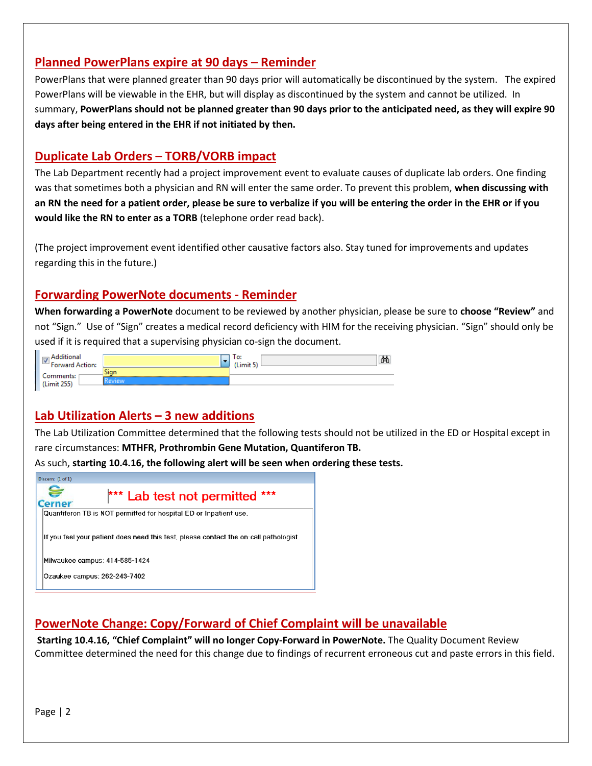## **Planned PowerPlans expire at 90 days – Reminder**

PowerPlans that were planned greater than 90 days prior will automatically be discontinued by the system. The expired PowerPlans will be viewable in the EHR, but will display as discontinued by the system and cannot be utilized. In summary, **PowerPlans should not be planned greater than 90 days prior to the anticipated need, as they will expire 90 days after being entered in the EHR if not initiated by then.**

#### **Duplicate Lab Orders – TORB/VORB impact**

The Lab Department recently had a project improvement event to evaluate causes of duplicate lab orders. One finding was that sometimes both a physician and RN will enter the same order. To prevent this problem, **when discussing with an RN the need for a patient order, please be sure to verbalize if you will be entering the order in the EHR or if you would like the RN to enter as a TORB** (telephone order read back).

(The project improvement event identified other causative factors also. Stay tuned for improvements and updates regarding this in the future.)

## **Forwarding PowerNote documents - Reminder**

**When forwarding a PowerNote** document to be reviewed by another physician, please be sure to **choose "Review"** and not "Sign." Use of "Sign" creates a medical record deficiency with HIM for the receiving physician. "Sign" should only be used if it is required that a supervising physician co-sign the document.

| 70 m s<br>-<br>Forward Action: |                        | ፙ<br>lo:<br>د Limit |
|--------------------------------|------------------------|---------------------|
| comments:                      | <b>COLLECT</b><br>Sian |                     |
|                                |                        |                     |

#### **Lab Utilization Alerts – 3 new additions**

The Lab Utilization Committee determined that the following tests should not be utilized in the ED or Hospital except in rare circumstances: **MTHFR, Prothrombin Gene Mutation, Quantiferon TB.**

As such, **starting 10.4.16, the following alert will be seen when ordering these tests.**



# **PowerNote Change: Copy/Forward of Chief Complaint will be unavailable**

**Starting 10.4.16, "Chief Complaint" will no longer Copy-Forward in PowerNote.** The Quality Document Review Committee determined the need for this change due to findings of recurrent erroneous cut and paste errors in this field.